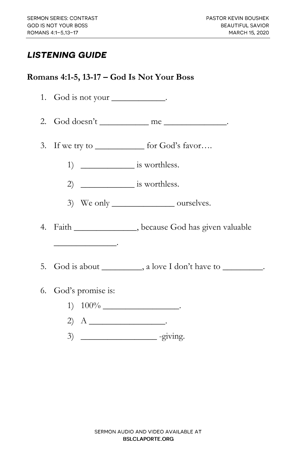## **LISTENING GUIDE**

## **Romans 4:1-5, 13-17 – God Is Not Your Boss**

| 1. God is not your ___________.                                                                                           |
|---------------------------------------------------------------------------------------------------------------------------|
| 2. God doesn't _____________ me _____________.                                                                            |
| 3. If we try to _____________ for God's favor                                                                             |
|                                                                                                                           |
|                                                                                                                           |
| 3) We only ____________________ ourselves.                                                                                |
| 4. Faith ________________, because God has given valuable                                                                 |
|                                                                                                                           |
| 5. God is about __________, a love I don't have to _________.                                                             |
| 6. God's promise is:                                                                                                      |
|                                                                                                                           |
| 2) A $\qquad$                                                                                                             |
| the contract of the contract of the contract of the contract of the contract of the contract of the contract of<br>$\sim$ |

 $3)$  \_\_\_\_\_\_\_\_\_\_\_\_\_\_\_\_\_\_\_\_\_\_\_\_\_ -giving.